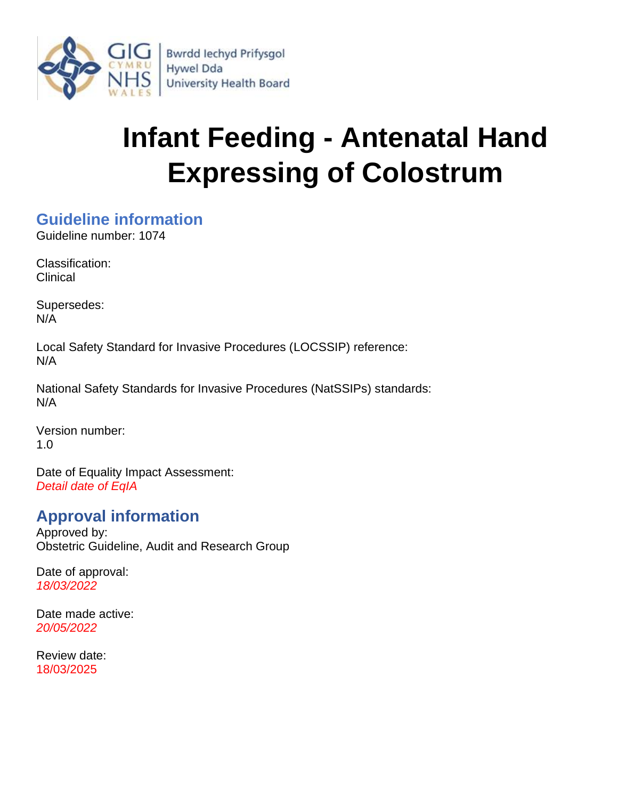

# **Infant Feeding - Antenatal Hand Expressing of Colostrum**

# <span id="page-0-0"></span>**Guideline information**

Guideline number: 1074

Classification: Clinical

Supersedes: N/A

Local Safety Standard for Invasive Procedures (LOCSSIP) reference: N/A

National Safety Standards for Invasive Procedures (NatSSIPs) standards: N/A

Version number: 1.0

Date of Equality Impact Assessment: *Detail date of EqIA*

# <span id="page-0-1"></span>**Approval information**

Approved by: Obstetric Guideline, Audit and Research Group

Date of approval: *18/03/2022*

Date made active: *20/05/2022*

Review date: 18/03/2025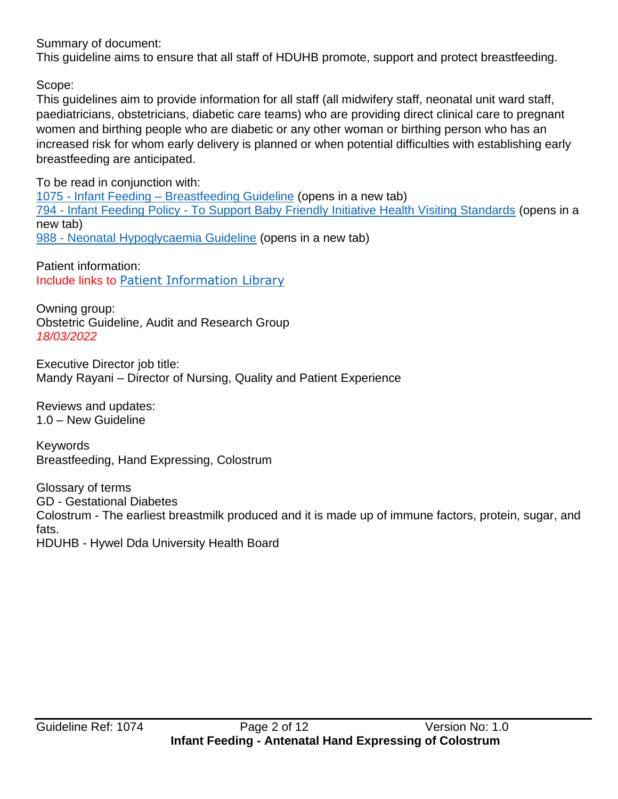### Summary of document:

This guideline aims to ensure that all staff of HDUHB promote, support and protect breastfeeding.

Scope:

This guidelines aim to provide information for all staff (all midwifery staff, neonatal unit ward staff, paediatricians, obstetricians, diabetic care teams) who are providing direct clinical care to pregnant women and birthing people who are diabetic or any other woman or birthing person who has an increased risk for whom early delivery is planned or when potential difficulties with establishing early breastfeeding are anticipated.

To be read in conjunction with: 1075 - Infant Feeding – [Breastfeeding Guideline](https://nhswales365.sharepoint.com/sites/HDD_Corporate_Governance/SitePages/Policy%20pages/Clinical%20policies/Obstetric%20and%20Maternity/1075---Infant-Feeding-%E2%80%93-Breastfeeding-Guideline.aspx) (opens in a new tab) 794 - Infant Feeding Policy - [To Support Baby Friendly Initiative Health Visiting Standards](https://nhswales365.sharepoint.com/sites/HDD_Corporate_Governance/SitePages/Policy%20pages/Clinical%20policies/Health%20Visitor/794---Infant-Feeding-Policy.aspx) (opens in a new tab) 988 - [Neonatal Hypoglycaemia Guideline](https://nhswales365.sharepoint.com/sites/HDD_Corporate_Governance/SitePages/Policy%20pages/Clinical%20policies/Obstetric%20and%20Maternity/988--.aspx) (opens in a new tab)

Patient information: Include links to [Patient Information Library](http://howis.wales.nhs.uk/sitesplus/862/page/60265)

Owning group: Obstetric Guideline, Audit and Research Group *18/03/2022*

Executive Director job title: Mandy Rayani – Director of Nursing, Quality and Patient Experience

Reviews and updates: 1.0 – New Guideline

**Keywords** Breastfeeding, Hand Expressing, Colostrum

Glossary of terms GD - Gestational Diabetes Colostrum - The earliest breastmilk produced and it is made up of immune factors, protein, sugar, and fats. HDUHB - Hywel Dda University Health Board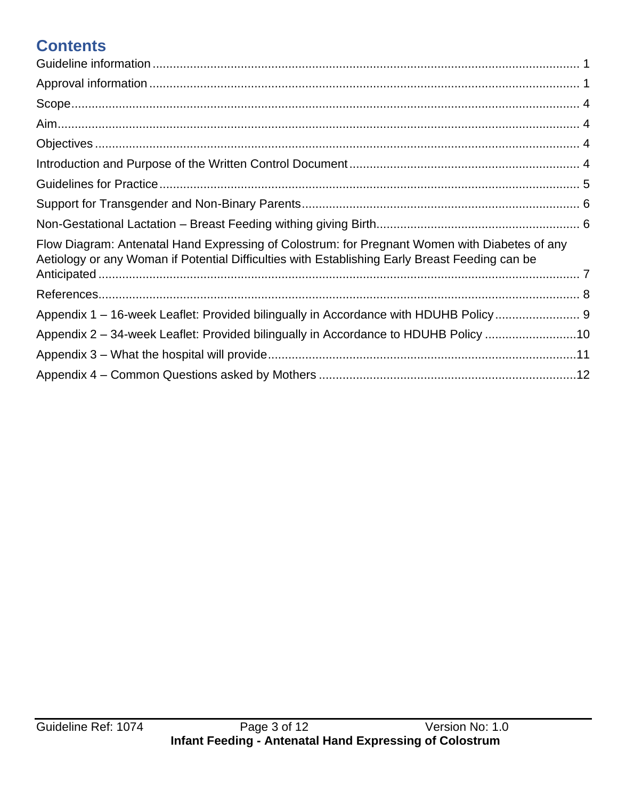# **Contents**

| Flow Diagram: Antenatal Hand Expressing of Colostrum: for Pregnant Women with Diabetes of any<br>Aetiology or any Woman if Potential Difficulties with Establishing Early Breast Feeding can be |  |
|-------------------------------------------------------------------------------------------------------------------------------------------------------------------------------------------------|--|
|                                                                                                                                                                                                 |  |
|                                                                                                                                                                                                 |  |
| Appendix 1 - 16-week Leaflet: Provided bilingually in Accordance with HDUHB Policy                                                                                                              |  |
| Appendix 2 – 34-week Leaflet: Provided bilingually in Accordance to HDUHB Policy 10                                                                                                             |  |
|                                                                                                                                                                                                 |  |
|                                                                                                                                                                                                 |  |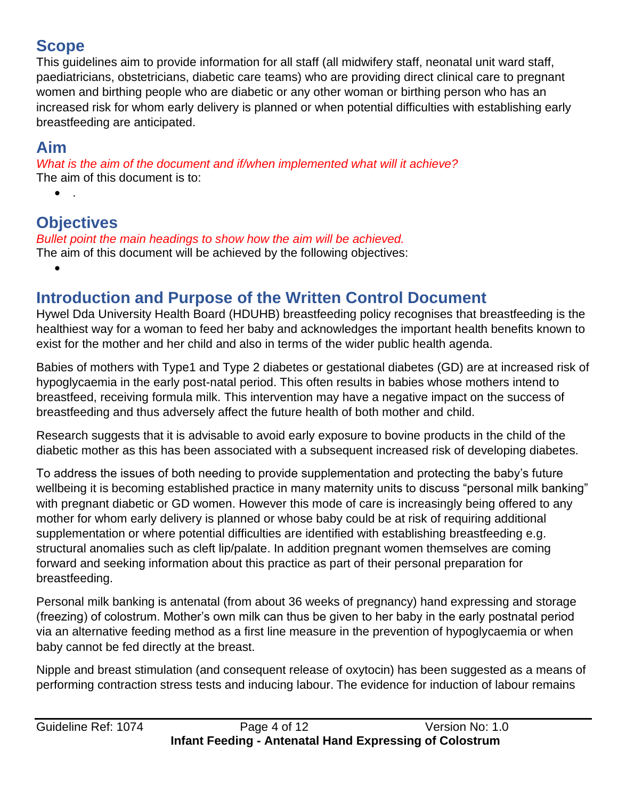# <span id="page-3-0"></span>**Scope**

This guidelines aim to provide information for all staff (all midwifery staff, neonatal unit ward staff, paediatricians, obstetricians, diabetic care teams) who are providing direct clinical care to pregnant women and birthing people who are diabetic or any other woman or birthing person who has an increased risk for whom early delivery is planned or when potential difficulties with establishing early breastfeeding are anticipated.

# <span id="page-3-1"></span>**Aim**

*What is the aim of the document and if/when implemented what will it achieve?* The aim of this document is to:

 $\bullet$ 

•

# <span id="page-3-2"></span>**Objectives**

*Bullet point the main headings to show how the aim will be achieved.* The aim of this document will be achieved by the following objectives:

# <span id="page-3-3"></span>**Introduction and Purpose of the Written Control Document**

Hywel Dda University Health Board (HDUHB) breastfeeding policy recognises that breastfeeding is the healthiest way for a woman to feed her baby and acknowledges the important health benefits known to exist for the mother and her child and also in terms of the wider public health agenda.

Babies of mothers with Type1 and Type 2 diabetes or gestational diabetes (GD) are at increased risk of hypoglycaemia in the early post-natal period. This often results in babies whose mothers intend to breastfeed, receiving formula milk. This intervention may have a negative impact on the success of breastfeeding and thus adversely affect the future health of both mother and child.

Research suggests that it is advisable to avoid early exposure to bovine products in the child of the diabetic mother as this has been associated with a subsequent increased risk of developing diabetes.

To address the issues of both needing to provide supplementation and protecting the baby's future wellbeing it is becoming established practice in many maternity units to discuss "personal milk banking" with pregnant diabetic or GD women. However this mode of care is increasingly being offered to any mother for whom early delivery is planned or whose baby could be at risk of requiring additional supplementation or where potential difficulties are identified with establishing breastfeeding e.g. structural anomalies such as cleft lip/palate. In addition pregnant women themselves are coming forward and seeking information about this practice as part of their personal preparation for breastfeeding.

Personal milk banking is antenatal (from about 36 weeks of pregnancy) hand expressing and storage (freezing) of colostrum. Mother's own milk can thus be given to her baby in the early postnatal period via an alternative feeding method as a first line measure in the prevention of hypoglycaemia or when baby cannot be fed directly at the breast.

Nipple and breast stimulation (and consequent release of oxytocin) has been suggested as a means of performing contraction stress tests and inducing labour. The evidence for induction of labour remains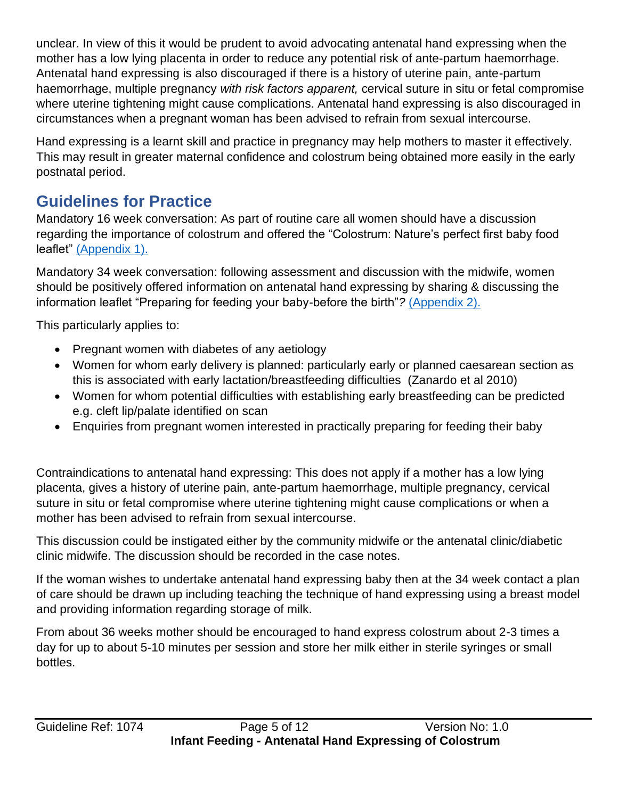unclear. In view of this it would be prudent to avoid advocating antenatal hand expressing when the mother has a low lying placenta in order to reduce any potential risk of ante-partum haemorrhage. Antenatal hand expressing is also discouraged if there is a history of uterine pain, ante-partum haemorrhage, multiple pregnancy *with risk factors apparent,* cervical suture in situ or fetal compromise where uterine tightening might cause complications. Antenatal hand expressing is also discouraged in circumstances when a pregnant woman has been advised to refrain from sexual intercourse.

Hand expressing is a learnt skill and practice in pregnancy may help mothers to master it effectively. This may result in greater maternal confidence and colostrum being obtained more easily in the early postnatal period.

# <span id="page-4-0"></span>**Guidelines for Practice**

Mandatory 16 week conversation: As part of routine care all women should have a discussion regarding the importance of colostrum and offered the "Colostrum: Nature's perfect first baby food leaflet" [\(Appendix 1\).](#page-8-0)

Mandatory 34 week conversation: following assessment and discussion with the midwife, women should be positively offered information on antenatal hand expressing by sharing & discussing the information leaflet "Preparing for feeding your baby-before the birth"*?* [\(Appendix 2\).](#page-9-0) 

This particularly applies to:

- Pregnant women with diabetes of any aetiology
- Women for whom early delivery is planned: particularly early or planned caesarean section as this is associated with early lactation/breastfeeding difficulties (Zanardo et al 2010)
- Women for whom potential difficulties with establishing early breastfeeding can be predicted e.g. cleft lip/palate identified on scan
- Enquiries from pregnant women interested in practically preparing for feeding their baby

Contraindications to antenatal hand expressing: This does not apply if a mother has a low lying placenta, gives a history of uterine pain, ante-partum haemorrhage, multiple pregnancy, cervical suture in situ or fetal compromise where uterine tightening might cause complications or when a mother has been advised to refrain from sexual intercourse.

This discussion could be instigated either by the community midwife or the antenatal clinic/diabetic clinic midwife. The discussion should be recorded in the case notes.

If the woman wishes to undertake antenatal hand expressing baby then at the 34 week contact a plan of care should be drawn up including teaching the technique of hand expressing using a breast model and providing information regarding storage of milk.

From about 36 weeks mother should be encouraged to hand express colostrum about 2-3 times a day for up to about 5-10 minutes per session and store her milk either in sterile syringes or small bottles.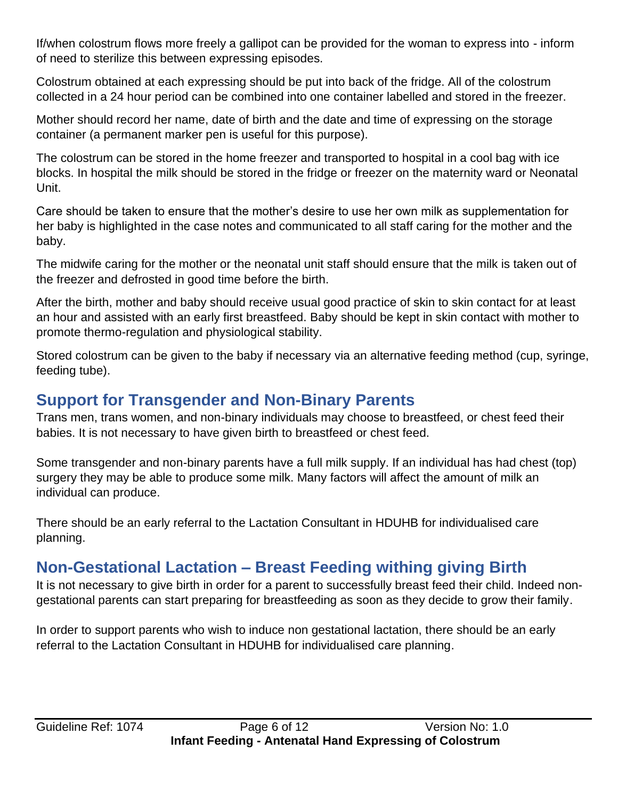If/when colostrum flows more freely a gallipot can be provided for the woman to express into - inform of need to sterilize this between expressing episodes.

Colostrum obtained at each expressing should be put into back of the fridge. All of the colostrum collected in a 24 hour period can be combined into one container labelled and stored in the freezer.

Mother should record her name, date of birth and the date and time of expressing on the storage container (a permanent marker pen is useful for this purpose).

The colostrum can be stored in the home freezer and transported to hospital in a cool bag with ice blocks. In hospital the milk should be stored in the fridge or freezer on the maternity ward or Neonatal Unit.

Care should be taken to ensure that the mother's desire to use her own milk as supplementation for her baby is highlighted in the case notes and communicated to all staff caring for the mother and the baby.

The midwife caring for the mother or the neonatal unit staff should ensure that the milk is taken out of the freezer and defrosted in good time before the birth.

After the birth, mother and baby should receive usual good practice of skin to skin contact for at least an hour and assisted with an early first breastfeed. Baby should be kept in skin contact with mother to promote thermo-regulation and physiological stability.

Stored colostrum can be given to the baby if necessary via an alternative feeding method (cup, syringe, feeding tube).

# <span id="page-5-0"></span>**Support for Transgender and Non-Binary Parents**

Trans men, trans women, and non-binary individuals may choose to breastfeed, or chest feed their babies. It is not necessary to have given birth to breastfeed or chest feed.

Some transgender and non-binary parents have a full milk supply. If an individual has had chest (top) surgery they may be able to produce some milk. Many factors will affect the amount of milk an individual can produce.

There should be an early referral to the Lactation Consultant in HDUHB for individualised care planning.

# <span id="page-5-1"></span>**Non-Gestational Lactation – Breast Feeding withing giving Birth**

It is not necessary to give birth in order for a parent to successfully breast feed their child. Indeed nongestational parents can start preparing for breastfeeding as soon as they decide to grow their family.

In order to support parents who wish to induce non gestational lactation, there should be an early referral to the Lactation Consultant in HDUHB for individualised care planning.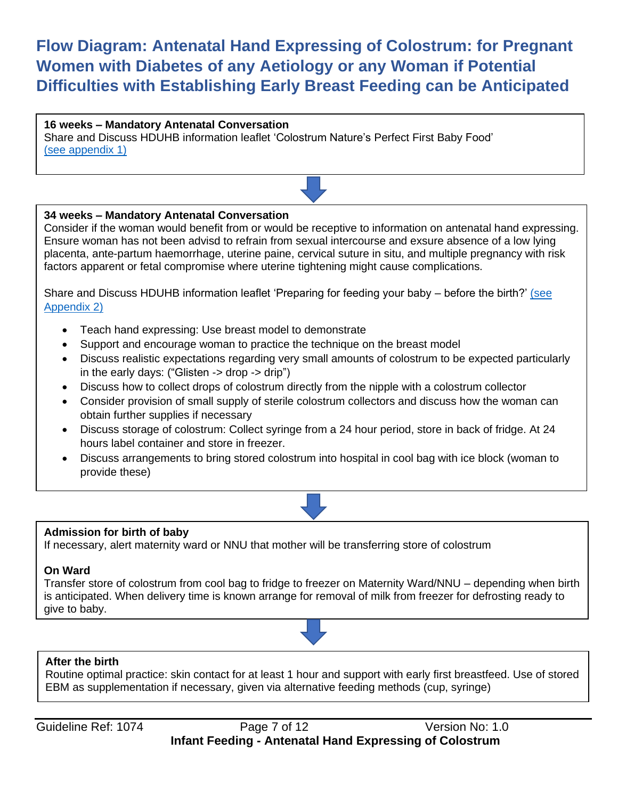# <span id="page-6-0"></span>**Flow Diagram: Antenatal Hand Expressing of Colostrum: for Pregnant Women with Diabetes of any Aetiology or any Woman if Potential Difficulties with Establishing Early Breast Feeding can be Anticipated**

#### **16 weeks – Mandatory Antenatal Conversation**

Share and Discuss HDUHB information leaflet 'Colostrum Nature's Perfect First Baby Food' [\(see appendix 1\)](#page-8-0)

#### **34 weeks – Mandatory Antenatal Conversation**

Consider if the woman would benefit from or would be receptive to information on antenatal hand expressing. Ensure woman has not been advisd to refrain from sexual intercourse and exsure absence of a low lying placenta, ante-partum haemorrhage, uterine paine, cervical suture in situ, and multiple pregnancy with risk factors apparent or fetal compromise where uterine tightening might cause complications.

Share and Discuss HDUHB information leaflet 'Preparing for feeding your baby – before the birth?' (see [Appendix 2\)](#page-9-0)

- Teach hand expressing: Use breast model to demonstrate
- Support and encourage woman to practice the technique on the breast model
- Discuss realistic expectations regarding very small amounts of colostrum to be expected particularly in the early days: ("Glisten -> drop -> drip")
- Discuss how to collect drops of colostrum directly from the nipple with a colostrum collector
- Consider provision of small supply of sterile colostrum collectors and discuss how the woman can obtain further supplies if necessary
- Discuss storage of colostrum: Collect syringe from a 24 hour period, store in back of fridge. At 24 hours label container and store in freezer.
- Discuss arrangements to bring stored colostrum into hospital in cool bag with ice block (woman to provide these)



#### **Admission for birth of baby**

If necessary, alert maternity ward or NNU that mother will be transferring store of colostrum

#### **On Ward**

Transfer store of colostrum from cool bag to fridge to freezer on Maternity Ward/NNU – depending when birth is anticipated. When delivery time is known arrange for removal of milk from freezer for defrosting ready to give to baby.



#### **After the birth**

Routine optimal practice: skin contact for at least 1 hour and support with early first breastfeed. Use of stored EBM as supplementation if necessary, given via alternative feeding methods (cup, syringe)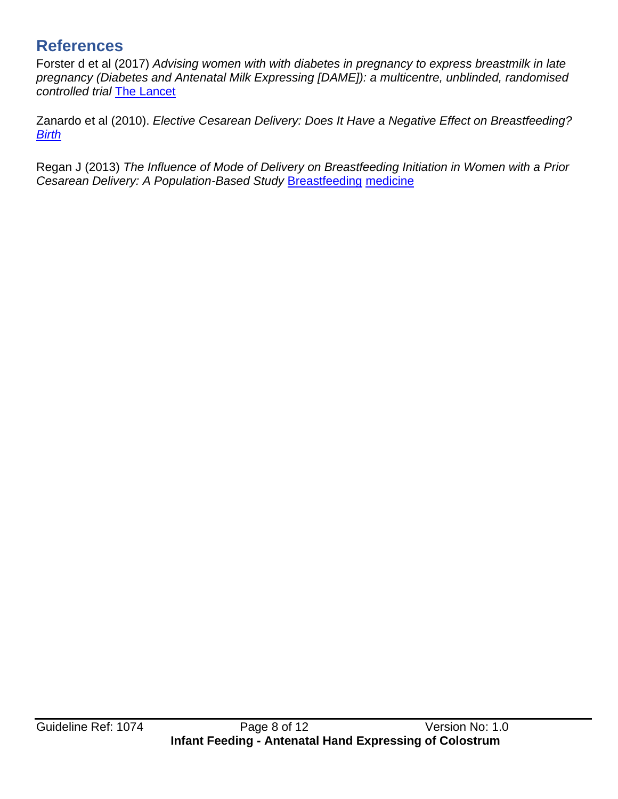# <span id="page-7-0"></span>**References**

Forster d et al (2017) *Advising women with with diabetes in pregnancy to express breastmilk in late pregnancy (Diabetes and Antenatal Milk Expressing [DAME]): a multicentre, unblinded, randomised controlled tri[al](https://www.thelancet.com/journals/lancet/article/PIIS0140-6736(17)31373-9/fulltext)* [The Lancet](https://www.thelancet.com/journals/lancet/article/PIIS0140-6736(17)31373-9/fulltext)

Zanardo et al (2010). *Elective Cesarean Delivery: Does It Have a Negative Effect on Breastfeeding[?](https://onlinelibrary.wiley.com/doi/10.1111/j.1523-536X.2010.00421.x) [Birth](https://onlinelibrary.wiley.com/doi/10.1111/j.1523-536X.2010.00421.x)*

Regan J (2013) *The Influence of Mode of Delivery on Breastfeeding Initiation in Women with a Prior Cesarean Delivery: A Population-Based Stud[y](https://www.ncbi.nlm.nih.gov/pmc/articles/PMC4209487/)* [Breastfeeding](https://www.ncbi.nlm.nih.gov/pmc/articles/PMC4209487/) [medicine](https://www.ncbi.nlm.nih.gov/pmc/articles/PMC4209487/)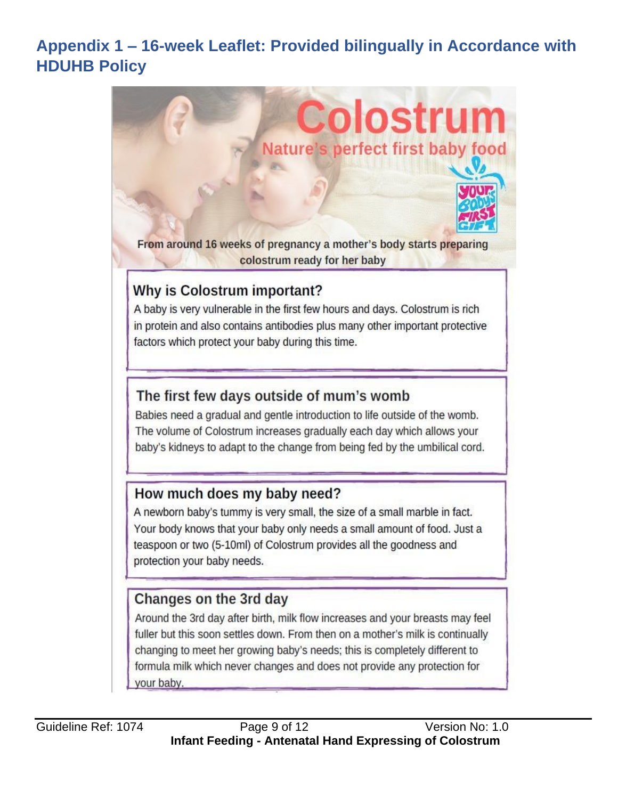# <span id="page-8-0"></span>**Appendix 1 – 16-week Leaflet: Provided bilingually in Accordance with HDUHB Policy**

**Colostrum** 

Nature's perfect first baby food

From around 16 weeks of pregnancy a mother's body starts preparing colostrum ready for her baby

# Why is Colostrum important?

A baby is very vulnerable in the first few hours and days. Colostrum is rich in protein and also contains antibodies plus many other important protective factors which protect your baby during this time.

## The first few days outside of mum's womb

Babies need a gradual and gentle introduction to life outside of the womb. The volume of Colostrum increases gradually each day which allows your baby's kidneys to adapt to the change from being fed by the umbilical cord.

### How much does my baby need?

A newborn baby's tummy is very small, the size of a small marble in fact. Your body knows that your baby only needs a small amount of food. Just a teaspoon or two (5-10ml) of Colostrum provides all the goodness and protection your baby needs.

# Changes on the 3rd day

Around the 3rd day after birth, milk flow increases and your breasts may feel fuller but this soon settles down. From then on a mother's milk is continually changing to meet her growing baby's needs; this is completely different to formula milk which never changes and does not provide any protection for your baby.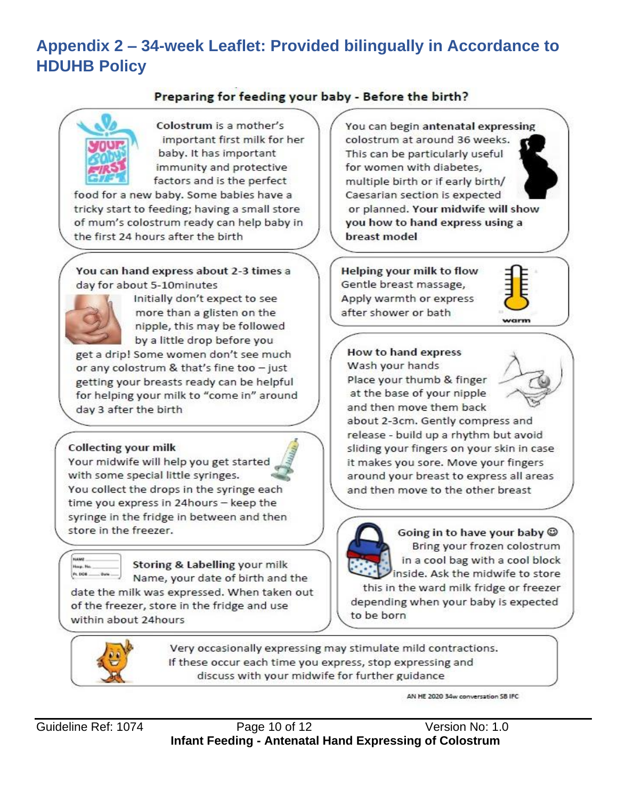# <span id="page-9-0"></span>**Appendix 2 – 34-week Leaflet: Provided bilingually in Accordance to HDUHB Policy**

### Preparing for feeding your baby - Before the birth?



Colostrum is a mother's important first milk for her baby. It has important immunity and protective factors and is the perfect

food for a new baby. Some babies have a tricky start to feeding; having a small store of mum's colostrum ready can help baby in the first 24 hours after the birth

You can hand express about 2-3 times a day for about 5-10minutes



Initially don't expect to see more than a glisten on the nipple, this may be followed by a little drop before you

get a drip! Some women don't see much or any colostrum & that's fine too - just getting your breasts ready can be helpful for helping your milk to "come in" around day 3 after the birth

#### **Collecting your milk**

Your midwife will help you get started with some special little syringes. You collect the drops in the syringe each time you express in 24hours - keep the syringe in the fridge in between and then store in the freezer.



Storing & Labelling your milk Name, your date of birth and the date the milk was expressed. When taken out of the freezer, store in the fridge and use within about 24hours

You can begin antenatal expressing colostrum at around 36 weeks. This can be particularly useful for women with diabetes, multiple birth or if early birth/ Caesarian section is expected or planned. Your midwife will show you how to hand express using a breast model

Helping your milk to flow Gentle breast massage, Apply warmth or express after shower or bath



How to hand express Wash your hands Place your thumb & finger at the base of your nipple and then move them back



about 2-3cm. Gently compress and release - build up a rhythm but avoid sliding your fingers on your skin in case it makes you sore. Move your fingers around your breast to express all areas and then move to the other breast



Going in to have your baby @ Bring your frozen colostrum in a cool bag with a cool block inside. Ask the midwife to store

this in the ward milk fridge or freezer depending when your baby is expected to be born



Very occasionally expressing may stimulate mild contractions. If these occur each time you express, stop expressing and discuss with your midwife for further guidance

AN HE 2020 34w conversation SB IFC

Guideline Ref: 1074 Page 10 of 12 Version No: 1.0 **Infant Feeding - Antenatal Hand Expressing of Colostrum**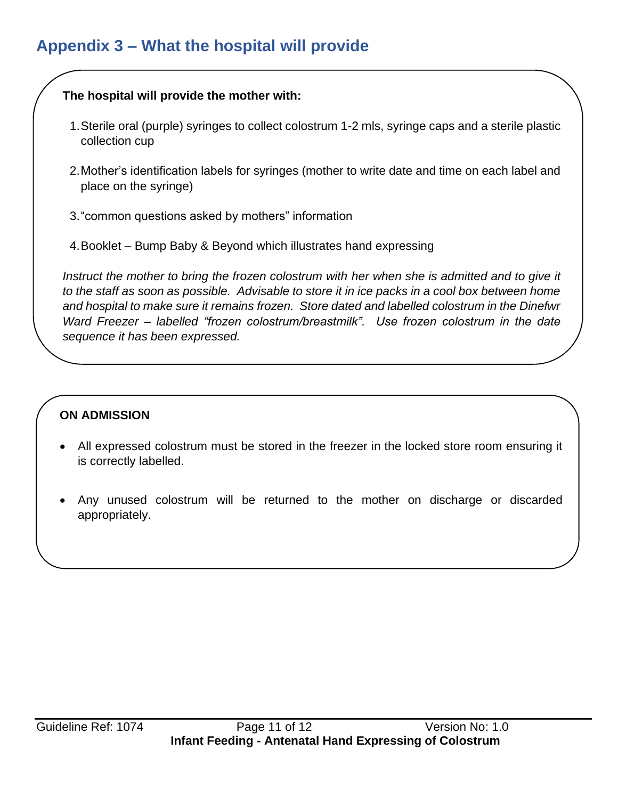# <span id="page-10-0"></span>**Appendix 3 – What the hospital will provide**

### **The hospital will provide the mother with:**

- 1.Sterile oral (purple) syringes to collect colostrum 1-2 mls, syringe caps and a sterile plastic collection cup
- 2.Mother's identification labels for syringes (mother to write date and time on each label and place on the syringe)
- 3."common questions asked by mothers" information
- 4.Booklet Bump Baby & Beyond which illustrates hand expressing

*Instruct the mother to bring the frozen colostrum with her when she is admitted and to give it to the staff as soon as possible. Advisable to store it in ice packs in a cool box between home and hospital to make sure it remains frozen. Store dated and labelled colostrum in the Dinefwr Ward Freezer – labelled "frozen colostrum/breastmilk". Use frozen colostrum in the date sequence it has been expressed.*

### **ON ADMISSION**

- All expressed colostrum must be stored in the freezer in the locked store room ensuring it is correctly labelled.
- Any unused colostrum will be returned to the mother on discharge or discarded appropriately.